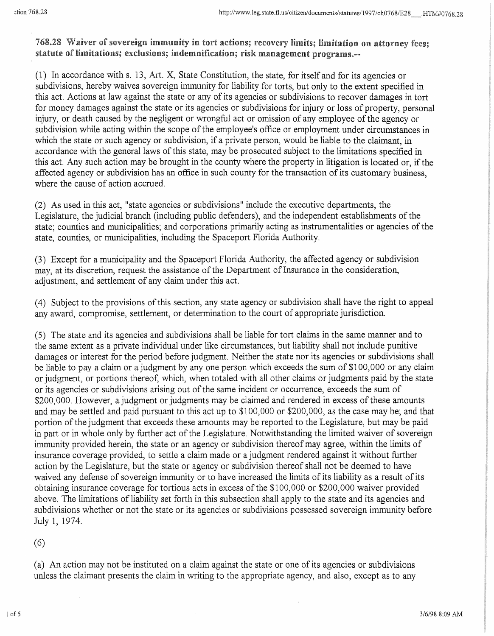**768.28 Waiver of sovereign immunity in** tort actions; **recovery limits; limitation on attorney fees;**  statute of **limitations; exclusions; indemnification;** risk **management programs.--**

(1) In accordance withs. 13, Art. X, State Constitution, the state, for itself and for its agencies or subdivisions, hereby waives sovereign immunity for liability for torts, but only to the extent specified in this act. Actions at law against the state or any of its agencies or subdivisions to recover damages in tort for money damages against the state or its agencies or subdivisions for injury or loss of property, personal injury, or death caused by the negligent or wrongful act or omission of any employee of the agency or subdivision while acting within the scope of the employee's office or employment under circumstances in which the state or such agency or subdivision, if a private person, would be liable to the claimant, in accordance with the general laws of this state, may be prosecuted subject to the limitations specified in this act. Any such action may be brought in the county where the property in litigation is located or, if the affected agency or subdivision has an office in such county for the transaction of its customary business, where the cause of action accrued.

(2) As used in this act, "state agencies or subdivisions" include the executive departments, the Legislature, the judicial branch (including public defenders), and the independent establishments of the state; counties and municipalities; and corporations primarily acting as instrumentalities or agencies of the state, counties, or municipalities, including the Spaceport Florida Authority.

(3) Except for a municipality and the Spaceport Florida Authority, the affected agency or subdivision may, at its discretion, request the assistance of the Department of Insurance in the consideration, adjustment, and settlement of any claim under this act.

(4) Subject to the provisions ofthis section, any state agency or subdivision shall have the right to appeal any award, compromise, settlement, or determination to the court of appropriate jurisdiction.

(5) The state and its agencies and subdivisions shall be liable for tort claims in the same manner and to the same extent as a private individual under like circumstances, but liability shall not include punitive damages or interest for the period before judgment. Neither the state nor its agencies or subdivisions shall be liable to pay a claim or a judgment by any one person which exceeds the sum of \$100,000 or any claim or judgment, or portions thereof, which, when totaled with all other claims or judgments paid by the state or its agencies or subdivisions arising out of the same incident or occurrence, exceeds the sum of \$200,000. However, a judgment or judgments may be claimed and rendered in excess of these amounts and may be settled and paid pursuant to this act up to \$100,000 or \$200,000, as the case may be; and that portion of the judgment that exceeds these amounts may be reported to the Legislature, but may be paid in part or in whole only by further act of the Legislature. Notwithstanding the limited waiver of sovereign immunity provided herein, the state or an agency or subdivision thereof may agree, within the limits of insurance coverage provided, to settle a claim made or a judgment rendered against it without further action by the Legislature, but the state or agency or subdivision thereof shall not be deemed to have waived any defense of sovereign immunity or to have increased the limits of its liability as a result of its obtaining insurance coverage for tortious acts in excess of the \$100,000 or \$200,000 waiver provided above. The limitations of liability set forth in this subsection shall apply to the state and its agencies and subdivisions whether or not the state or its agencies or subdivisions possessed sovereign immunity before July 1, 1974.

(6)

(a) An action may not be instituted on a claim against the state or one of its agencies or subdivisions unless the claimant presents the claim in writing to the appropriate agency, and also, except as to any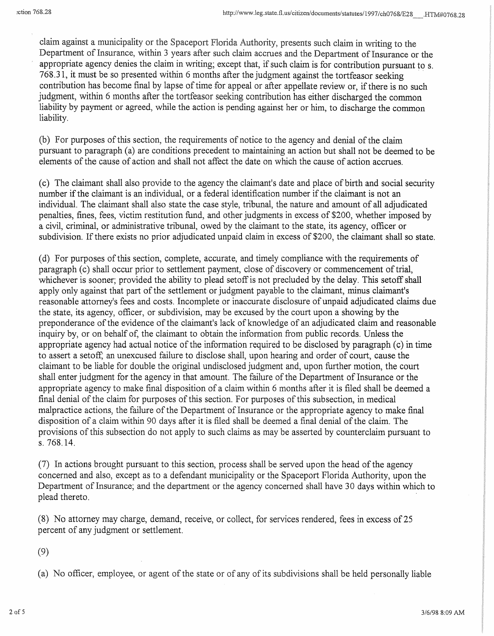claim against a municipality or the Spaceport Florida Authority, presents such claim in writing to the Department of Insurance, within 3 years after such claim accrues and the Department of Insurance or the appropriate agency denies the claim in writing; except that, if such claim is for contribution pursuant to s. 768.31, it must be so presented within 6 months after the judgment against the tortfeasor seeking · contribution has become final by lapse of time for appeal or after appellate review or, if there is no such judgment, within 6 months after the tortfeasor seeking contribution has either discharged the common liability by payment or agreed, while the action is pending against her or him, to discharge the common liability.

(b) For purposes of this section, the requirements of notice to the agency and denial of the claim pursuant to paragraph (a) are conditions precedent to maintaining an action but shall not be deemed to be elements of the cause of action and shall not affect the date on which the cause of action accrues.

(c) The claimant shall also provide to the agency the claimant's date and place of birth and social security number ifthe claimant is an individual, or a federal identification number if the claimant is not an individual. The claimant shall also state the case style, tribunal, the nature and amount of all adjudicated penalties, fines, fees, victim restitution fund, and other judgments in excess of \$200, whether imposed by a civil, criminal, or administrative tribunal, owed by the claimant to the state, its agency, officer or subdivision. If there exists no prior adjudicated unpaid claim in excess of \$200, the claimant shall so state.

(d) For purposes ofthis section, complete, accurate, and timely compliance with the requirements of paragraph (c) shall occur prior to settlement payment, close of discovery or commencement of trial, whichever is sooner; provided the ability to plead setoff is not precluded by the delay. This setoff shall apply only against that part of the settlement or judgment payable to the claimant, minus claimant's reasonable attorney's fees and costs. Incomplete or inaccurate disclosure of unpaid adjudicated claims due the state, its agency, officer, or subdivision, may be excused by the court upon a showing by the preponderance of the evidence of the claimant's lack of knowledge of an adjudicated claim and reasonable inquiry by, or on behalf of, the claimant to obtain the information from public records. Unless the appropriate agency had actual notice of the information required to be disclosed by paragraph (c) in time to assert a setoff, an unexcused failure to disclose shall, upon hearing and order of court, cause the claimant to be liable for double the original undisclosed judgment and, upon further motion, the court shall enter judgment for the agency in that amount. The failure of the Department of Insurance or the appropriate agency to make final disposition of a claim within 6 months after it is filed shall be deemed a final denial of the claim for purposes of this section. For purposes of this subsection, in medical malpractice actions, the failure of the Department of Insurance or the appropriate agency to make final disposition of a claim within 90 days after it is filed shall be deemed a final denial of the claim. The provisions of this subsection do not apply to such claims as may be asserted by counterclaim pursuant to s. 768.14.

 $(7)$  In actions brought pursuant to this section, process shall be served upon the head of the agency concerned and also, except as to a defendant municipality or the Spaceport Florida Authority, upon the Department of Insurance; and the department or the agency concerned shall have 30 days within which to plead thereto.

(8) No attorney may charge, demand, receive, or collect, for services rendered, fees in excess of 25 percent of any judgment or settlement.

(9)

(a) No officer, employee, or agent of the state or of any of its subdivisions shall be held personally liable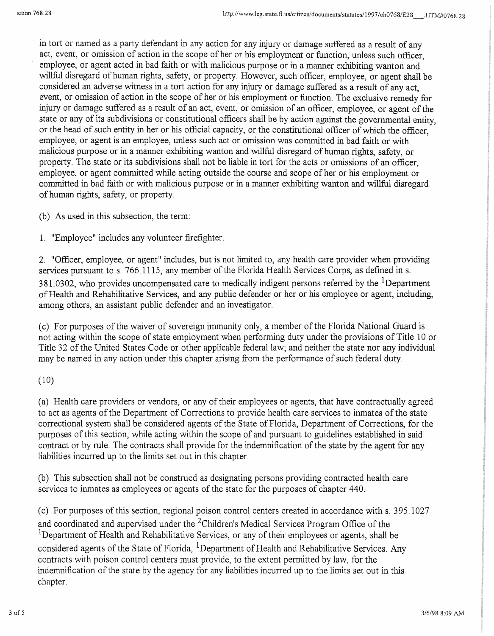in tort or named as a party defendant in any action for any injury or damage suffered as a result of any act, event, or omission of action in the scope of her or his employment or function, unless such officer, employee, or agent acted in bad faith or with malicious purpose or in a manner exhibiting wanton and willful disregard of human rights, safety, or property. However, such officer, employee, or agent shall be considered an adverse witness in a tort action for any injury or damage suffered as a result of any act, event, or omission of action in the scope of her or his employment or function. The exclusive remedy for injury or damage suffered as a result of an act, event, or omission of an officer, employee, or agent of the state or any of its subdivisions or constitutional officers shall be by action against the governmental entity, or the head of such entity in her or his official capacity, or the constitutional officer of which the officer, employee, or agent is an employee, unless such act or omission was committed in bad faith or with malicious purpose or in a manner exhibiting wanton and willful disregard of human rights, safety, or property. The state or its subdivisions shall not be liable in tort for the acts or omissions of an officer, employee, or agent committed while acting outside the course and scope of her or his employment or committed in bad faith or with malicious purpose or in a manner exhibiting wanton and willful disregard of human rights, safety, or property.

(b) As used in this subsection, the term:

1. "Employee" includes any volunteer firefighter.

2. "Officer, employee, or agent" includes, but is not limited to, any health care provider when providing services pursuant to s. 766.1115, any member of the Florida Health Services Corps, as defined in s. 381.0302, who provides uncompensated care to medically indigent persons referred by the <sup>1</sup>Department ofHealth and Rehabilitative Services, and any public defender or her or his employee or agent, including, among others, an assistant public defender and an investigator.

(c) For purposes ofthe waiver of sovereign immunity only, a member of the Florida National Guard is not acting within the scope of state employment when performing duty under the provisions of Title 10 or Title 32 of the United States Code or other applicable federal law; and neither the state nor any individual may be named in' any action under this chapter arising from the performance of such federal duty.

(10)

(a) Health care providers or vendors, or any of their employees or agents, that have contractually agreed to act as agents of the Department of Corrections to provide health care services to inmates of the state correctional system shall be considered agents of the State of Florida, Department of Corrections, for the purposes of this section, while acting within the scope of and pursuant to guidelines established in said contract or by rule. The contracts shall provide for the indemnification of the state by the agent for any liabilities incurred up to the limits set out in this chapter.

(b) This subsection shall not be construed as designating persons providing contracted health care services to inmates as employees or agents of the state for the purposes of chapter 440.

(c) For purposes of this section, regional poison control centers created in accordance withs. 395.1027 and coordinated and supervised under the 2Children's Medical Services Program Office of the <sup>1</sup>Department of Health and Rehabilitative Services, or any of their employees or agents, shall be considered agents of the State of Florida, <sup>1</sup>Department of Health and Rehabilitative Services. Any contracts with poison control centers must provide, to the extent permitted by law, for the indemnification of the state by the agency for any liabilities incurred up to the limits set out in this chapter.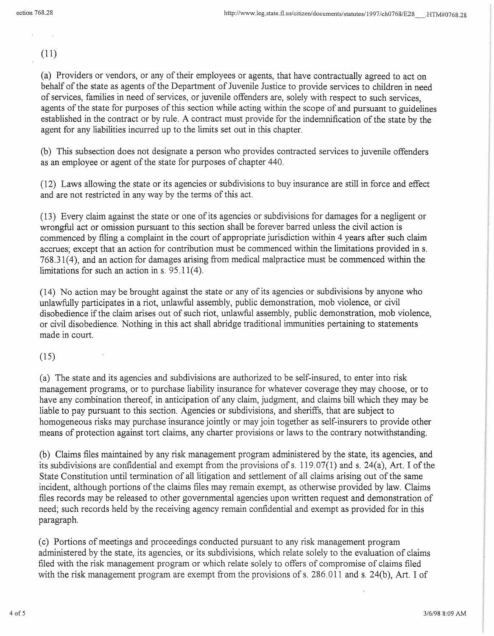(11)

(a) Providers or vendors, or any of their employees or agents, that have contractually agreed to act on behalf of the state as agents of the Department of Juvenile Justice to provide services to children in need of services, families in need of services, or juvenile offenders are, solely with respect to such services, agents of the state for purposes of this section while acting within the scope of and pursuant to guidelines established in the contract or by rule. A contract must provide for the indemnification of the state by the agent for any liabilities incurred up to the limits set out in this chapter.

(b) This subsection does not designate a person who provides contracted services to juvenile offenders as an employee or agent of the state for purposes of chapter 440.

(12) Laws allowing the state or its agencies or subdivisions to buy insurance are still in force and effect and are not restricted in any way by the terms of this act.

(13) Every claim against the state or one ofits agencies or subdivisions for damages for a negligent or wrongful act or omission pursuant to this section shall be forever barred unless the civil action is commenced by filing a complaint in the court of appropriate jurisdiction within 4 years after such claim accrues; except that an action for contribution must be commenced within the limitations provided ins. 768.31(4), and an action for damages arising from medical malpractice must be commenced within the limitations for such an action in  $s$ . 95.11(4).

(14) No action may be brought against the state or any of its agencies or subdivisions by anyone who unlawfully participates in a riot, unlawful assembly, public demonstration, mob violence, or civil disobedience if the claim arises out of such riot, unlawful assembly, public demonstration, mob violence, or civil disobedience. Nothing in this act shall abridge traditional immunities pertaining to statements made in court.

(15)

(a) The state and its agencies and subdivisions are authorized to be self-insured, to enter into risk management programs, or to purchase liability insurance for whatever coverage they may choose, or to have any combination thereof, in anticipation of any claim, judgment, and claims bill which they may be liable to pay pursuant to this section. Agencies or subdivisions, and sheriffs, that are subject to homogeneous risks may purchase insurance jointly or may join together as self-insurers to provide other means of protection against tort claims, any charter provisions or laws to the contrary notwithstanding.

(b) Claims files maintained by any risk management program administered by the state, its agencies, and its subdivisions are confidential and exempt from the provisions of s.  $119.07(1)$  and s.  $24(a)$ , Art. I of the State Constitution until termination of all litigation and settlement of all claims arising out of the same incident, although portions of the claims files may remain exempt, as otherwise provided by law. Claims files records may be released to other governmental agencies upon written request and demonstration of need; such records held by the receiving agency remain confidential and exempt as provided for in this paragraph.

(c) Portions of meetings and proceedings conducted pursuant to any risk management program administered by the state, its agencies, or its subdivisions, which relate solely to the evaluation of claims filed with the risk management program or which relate solely to offers of compromise of claims filed with the risk management program are exempt from the provisions of s. 286.011 and s. 24(b), Art. I of